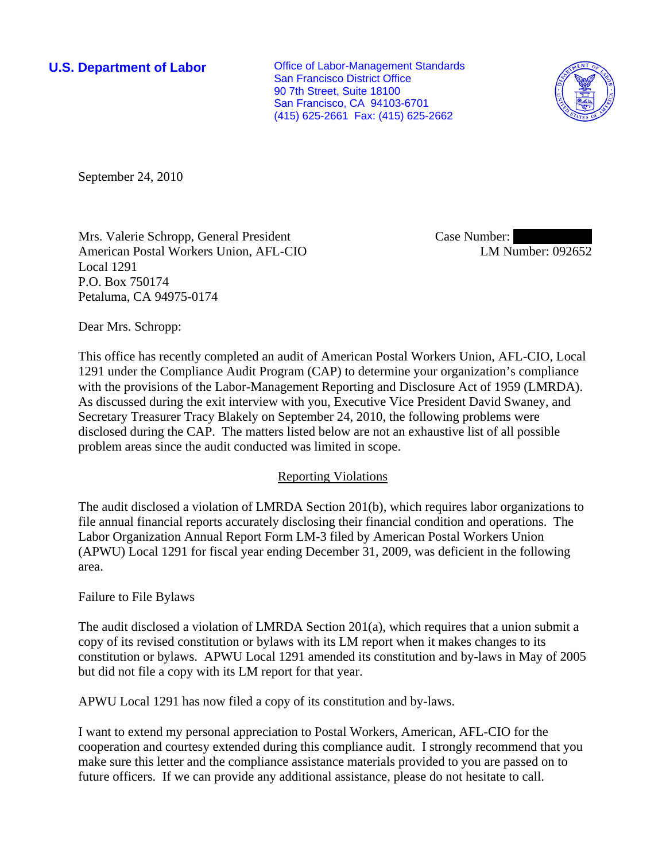**U.S. Department of Labor Conservative Conservative Conservative Conservative Conservative Conservative Conservative Conservative Conservative Conservative Conservative Conservative Conservative Conservative Conservative** San Francisco District Office 90 7th Street, Suite 18100 San Francisco, CA 94103-6701 (415) 625-2661 Fax: (415) 625-2662



September 24, 2010

Mrs. Valerie Schropp, General President American Postal Workers Union, AFL-CIO Local 1291 P.O. Box 750174 Petaluma, CA 94975-0174

Case Number: LM Number: 092652

Dear Mrs. Schropp:

This office has recently completed an audit of American Postal Workers Union, AFL-CIO, Local 1291 under the Compliance Audit Program (CAP) to determine your organization's compliance with the provisions of the Labor-Management Reporting and Disclosure Act of 1959 (LMRDA). As discussed during the exit interview with you, Executive Vice President David Swaney, and Secretary Treasurer Tracy Blakely on September 24, 2010, the following problems were disclosed during the CAP. The matters listed below are not an exhaustive list of all possible problem areas since the audit conducted was limited in scope.

## Reporting Violations

The audit disclosed a violation of LMRDA Section 201(b), which requires labor organizations to file annual financial reports accurately disclosing their financial condition and operations. The Labor Organization Annual Report Form LM-3 filed by American Postal Workers Union (APWU) Local 1291 for fiscal year ending December 31, 2009, was deficient in the following area.

## Failure to File Bylaws

The audit disclosed a violation of LMRDA Section 201(a), which requires that a union submit a copy of its revised constitution or bylaws with its LM report when it makes changes to its constitution or bylaws. APWU Local 1291 amended its constitution and by-laws in May of 2005 but did not file a copy with its LM report for that year.

APWU Local 1291 has now filed a copy of its constitution and by-laws.

I want to extend my personal appreciation to Postal Workers, American, AFL-CIO for the cooperation and courtesy extended during this compliance audit. I strongly recommend that you make sure this letter and the compliance assistance materials provided to you are passed on to future officers. If we can provide any additional assistance, please do not hesitate to call.